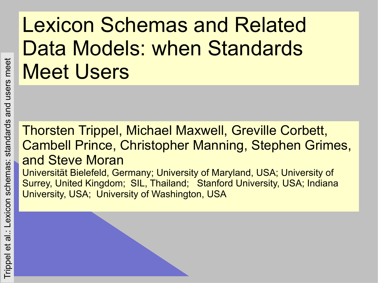#### Lexicon Schemas and Related Data Models: when Standards Meet Users

#### Thorsten Trippel, Michael Maxwell, Greville Corbett, Cambell Prince, Christopher Manning, Stephen Grimes, and Steve Moran

Universität Bielefeld, Germany; University of Maryland, USA; University of Surrey, United Kingdom; SIL, Thailand; Stanford University, USA; Indiana University, USA; University of Washington, USA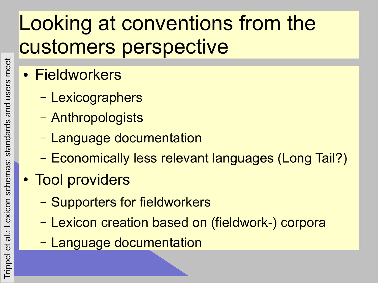#### Looking at conventions from the customers perspective

- Fieldworkers
	- Lexicographers
	- Anthropologists
	- Language documentation
	- Economically less relevant languages (Long Tail?)
- Tool providers
	- Supporters for fieldworkers
	- Lexicon creation based on (fieldwork-) corpora
	- Language documentation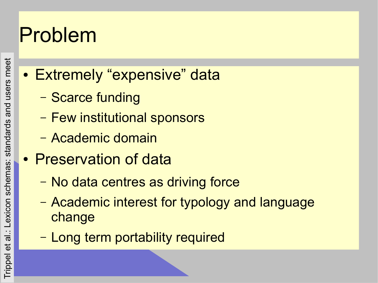#### Problem

- users meet Trippel et al.: Lexicon schemas: standards and users meet and Lexicon schemas: standards  $\frac{1}{\overline{\sigma}}$  $\vec{e}$ Trippel
- Extremely "expensive" data
	- Scarce funding
	- Few institutional sponsors
	- Academic domain
- Preservation of data
	- No data centres as driving force
	- Academic interest for typology and language change
	- Long term portability required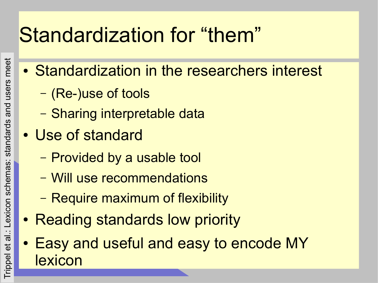### Standardization for "them"

- Standardization in the researchers interest
	- (Re-)use of tools
	- Sharing interpretable data
- Use of standard
	- Provided by a usable tool
	- Will use recommendations
	- Require maximum of flexibility
- Reading standards low priority
- Easy and useful and easy to encode MY lexicon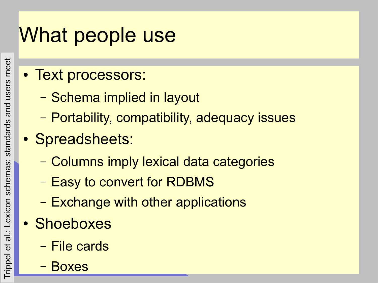### What people use

- Text processors:
	- Schema implied in layout
	- Portability, compatibility, adequacy issues
- Spreadsheets:
	- Columns imply lexical data categories
	- Easy to convert for RDBMS
	- Exchange with other applications
- Shoeboxes
	- File cards
	- **Boxes**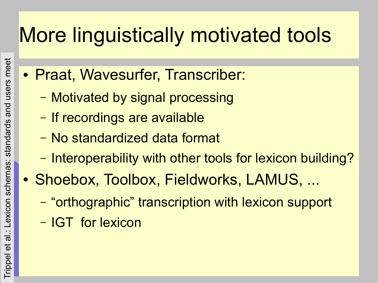### More linguistically motivated tools

- Praat, Wavesurfer, Transcriber:
	- Motivated by signal processing
	- If recordings are available
	- No standardized data format
	- Interoperability with other tools for lexicon building?
- Shoebox, Toolbox, Fieldworks, LAMUS, ...
	- "orthographic" transcription with lexicon support
	- IGT for lexicon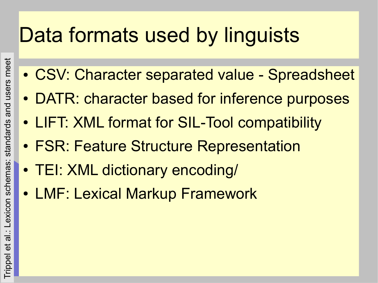#### Data formats used by linguists

- CSV: Character separated value Spreadsheet
- DATR: character based for inference purposes
- LIFT: XML format for SIL-Tool compatibility
- FSR: Feature Structure Representation
- TEI: XML dictionary encoding/
- LMF: Lexical Markup Framework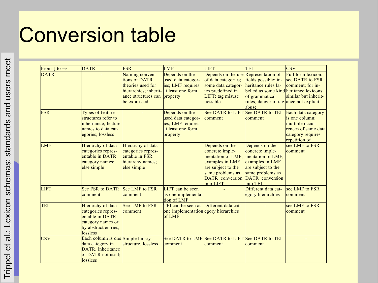#### Conversion table

| From $\downarrow$ to $\rightarrow$ | <b>DATR</b>                                                                                                         | FSR                                                                                                                  | <b>LMF</b>                                                                                  | <b>LIFT</b>                                                                                                                                                | <b>TEI</b>                                                                                                                                                  | <b>CSV</b>                                                                                                           |
|------------------------------------|---------------------------------------------------------------------------------------------------------------------|----------------------------------------------------------------------------------------------------------------------|---------------------------------------------------------------------------------------------|------------------------------------------------------------------------------------------------------------------------------------------------------------|-------------------------------------------------------------------------------------------------------------------------------------------------------------|----------------------------------------------------------------------------------------------------------------------|
| <b>DATR</b>                        |                                                                                                                     | Naming conven-<br>tions of DATR<br>theories used for<br>hierarchies; inherit-<br>ance structures can<br>be expressed | Depends on the<br>used data categor-<br>ies; LMF requires<br>at least one form<br>property. | Depends on the use Representation of<br>of data categories;<br>some data categor-<br>ies predefined in<br>LIFT; tag misuse<br>possible                     | fields possible; in-<br>heritance rules la-<br>belled as some kind heritance lexicons:<br>of grammatical<br>rules, danger of tag ance not explicit<br>abuse | Full form lexicon:<br>see DATR to FSR<br>comment; for in-<br>similar but inherit-                                    |
| <b>FSR</b>                         | Types of feature<br>structures refer to<br>inheritance, feature<br>names to data cat-<br>egories; lossless          |                                                                                                                      | Depends on the<br>used data categor-<br>ies; LMF requires<br>at least one form<br>property. | <b>See DATR to LIFT</b><br>comment                                                                                                                         | See DATR to TEI<br>comment                                                                                                                                  | Each data category<br>is one column;<br>multiple occur-<br>rences of same data<br>category requires<br>repetition of |
| <b>LMF</b>                         | Hierarchy of data<br>categories repres-<br>entable in DATR<br>category names;<br>else simple                        | Hierarchy of data<br>categories repres-<br>entable in FSR<br>hierarchy names;<br>else simple                         |                                                                                             | Depends on the<br>concrete imple-<br>mentation of LMF;<br>examples in LMF<br>are subject to the<br>same problems as<br><b>DATR</b> conversion<br>into LIFT | Depends on the<br>concrete imple-<br>mentation of LMF;<br>examples in LMF<br>are subject to the<br>same problems as<br><b>DATR</b> conversion<br>into TEI   | see LMF to FSR<br>comment                                                                                            |
| <b>LIFT</b>                        | See FSR to DATR See LMF to FSR<br>comment                                                                           | comment                                                                                                              | LIFT can be seen<br>as one implementa-<br>tion of LMF                                       |                                                                                                                                                            | Different data cat-<br>egory hierarchies                                                                                                                    | see LMF to FSR<br>comment                                                                                            |
| <b>TEI</b>                         | Hierarchy of data<br>categories repres-<br>entable in DATR<br>category names or<br>by abstract entries;<br>lossless | See LMF to FSR<br>comment                                                                                            | TEI can be seen as Different data cat-<br>one implementation egory hierarchies<br>of LMF    |                                                                                                                                                            |                                                                                                                                                             | see LMF to FSR<br>comment                                                                                            |
| <b>CSV</b>                         | Each column is one Simple binary<br>data category in<br>DATR, inheritance<br>of DATR not used;<br>lossless          | structure, lossless                                                                                                  | comment                                                                                     | See DATR to LMF See DATR to LIFT See DATR to TEI<br>comment                                                                                                | comment                                                                                                                                                     |                                                                                                                      |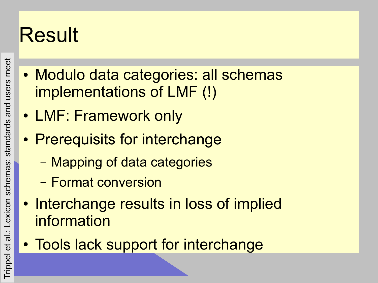# Result

- users meet Trippel et al.: Lexicon schemas: standards and users meet al .: Lexicon schemas: standards and Trippel et
- Modulo data categories: all schemas implementations of LMF (!)
- LMF: Framework only
- Prerequisits for interchange
	- Mapping of data categories
	- Format conversion
- Interchange results in loss of implied information
- Tools lack support for interchange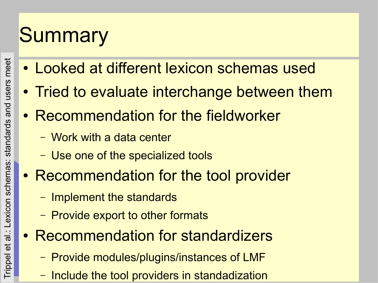# **Summary**

- Looked at different lexicon schemas used
- Tried to evaluate interchange between them
- Recommendation for the fieldworker
	- Work with a data center
	- Use one of the specialized tools
- Recommendation for the tool provider
	- Implement the standards
	- Provide export to other formats
- Recommendation for standardizers
	- Provide modules/plugins/instances of LMF
	- Include the tool providers in standadization